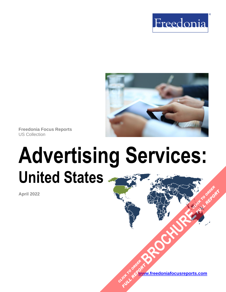



**Freedonia Focus Reports** US Collection

# **Advertising Services: United States [BROCHURE](https://www.freedoniafocusreports.com/Advertising-Services-United-States-FF95027/?progid=89541) CLICK TO ORDER**

**April 2022**

**[www.freedoniafocusreports.com](https://www.freedoniafocusreports.com/redirect.asp?progid=89534&url=/)** CLICK TO ORDER **FULL REPORT** 

**FULL REPORT**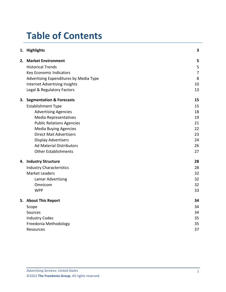# **Table of Contents**

|    | 1. Highlights                          | 3              |
|----|----------------------------------------|----------------|
| 2. | <b>Market Environment</b>              | 5              |
|    | <b>Historical Trends</b>               | 5              |
|    | Key Economic Indicators                | $\overline{7}$ |
|    | Advertising Expenditures by Media Type | 8              |
|    | <b>Internet Advertising Insights</b>   | 10             |
|    | Legal & Regulatory Factors             | 13             |
| 3. | <b>Segmentation &amp; Forecasts</b>    | 15             |
|    | <b>Establishment Type</b>              | 15             |
|    | <b>Advertising Agencies</b>            | 18             |
|    | <b>Media Representatives</b>           | 19             |
|    | <b>Public Relations Agencies</b>       | 21             |
|    | <b>Media Buying Agencies</b>           | 22             |
|    | <b>Direct Mail Advertisers</b>         | 23             |
|    | <b>Display Advertisers</b>             | 24             |
|    | <b>Ad Material Distributors</b>        | 26             |
|    | <b>Other Establishments</b>            | 27             |
|    | 4. Industry Structure                  | 28             |
|    | <b>Industry Characteristics</b>        | 28             |
|    | <b>Market Leaders</b>                  | 32             |
|    | <b>Lamar Advertising</b>               | 32             |
|    | Omnicom                                | 32             |
|    | <b>WPP</b>                             | 33             |
|    | 5. About This Report                   | 34             |
|    | Scope                                  | 34             |
|    | Sources                                | 34             |
|    | <b>Industry Codes</b>                  | 35             |
|    | Freedonia Methodology                  | 35             |
|    | Resources                              | 37             |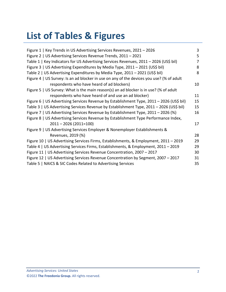# **List of Tables & Figures**

| Figure 1   Key Trends in US Advertising Services Revenues, 2021 - 2026                   | 3  |
|------------------------------------------------------------------------------------------|----|
| Figure 2   US Advertising Services Revenue Trends, 2011 - 2021                           | 5  |
| Table 1   Key Indicators for US Advertising Services Revenues, 2011 - 2026 (US\$ bil)    | 7  |
| Figure 3   US Advertising Expenditures by Media Type, 2011 - 2021 (US\$ bil)             | 8  |
| Table 2   US Advertising Expenditures by Media Type, 2011 - 2021 (US\$ bil)              | 8  |
| Figure 4   US Survey: Is an ad blocker in use on any of the devices you use? (% of adult |    |
| respondents who have heard of ad blockers)                                               | 10 |
| Figure 5   US Survey: What is the main reason(s) an ad blocker is in use? (% of adult    |    |
| respondents who have heard of and use an ad blocker)                                     | 11 |
| Figure 6   US Advertising Services Revenue by Establishment Type, 2011 - 2026 (US\$ bil) | 15 |
| Table 3   US Advertising Services Revenue by Establishment Type, 2011 - 2026 (US\$ bil)  | 15 |
| Figure 7   US Advertising Services Revenue by Establishment Type, 2011 - 2026 (%)        | 16 |
| Figure 8   US Advertising Services Revenue by Establishment Type Performance Index,      |    |
| $2011 - 2026(2011=100)$                                                                  | 17 |
| Figure 9   US Advertising Services Employer & Nonemployer Establishments &               |    |
| Revenues, 2019 (%)                                                                       | 28 |
| Figure 10   US Advertising Services Firms, Establishments, & Employment, 2011 - 2019     | 29 |
| Table 4   US Advertising Services Firms, Establishments, & Employment, 2011 - 2019       | 29 |
| Figure 11   US Advertising Services Revenue Concentration, 2007 - 2017                   | 30 |
| Figure 12   US Advertising Services Revenue Concentration by Segment, 2007 - 2017        | 31 |
| Table 5   NAICS & SIC Codes Related to Advertising Services                              | 35 |
|                                                                                          |    |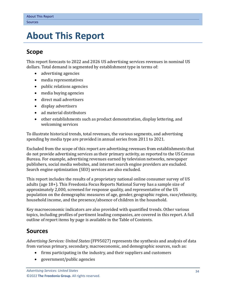# <span id="page-3-0"></span>**5. About This Report**

## <span id="page-3-1"></span>**Scope**

This report forecasts to 2022 and 2026 US advertising services revenues in nominal US dollars. Total demand is segmented by establishment type in terms of:

- advertising agencies
- media representatives
- public relations agencies
- media buying agencies
- direct mail advertisers
- display advertisers
- ad material distributors
- other establishments such as product demonstration, display lettering, and welcoming services

To illustrate historical trends, total revenues, the various segments, and advertising spending by media type are provided in annual series from 2011 to 2021.

Excluded from the scope of this report are advertising revenues from establishments that do not provide advertising services as their primary activity, as reported to the US Census Bureau. For example, advertising revenues earned by television networks, newspaper publishers, social media websites, and internet search engine providers are excluded. Search engine optimization (SEO) services are also excluded.

This report includes the results of a proprietary national online consumer survey of US adults (age 18+). This Freedonia Focus Reports National Survey has a sample size of approximately 2,000, screened for response quality, and representative of the US population on the demographic measures of age, gender, geographic region, race/ethnicity, household income, and the presence/absence of children in the household.

Key macroeconomic indicators are also provided with quantified trends. Other various topics, including profiles of pertinent leading companies, are covered in this report. A full outline of report items by page is available in the Table of Contents.

# <span id="page-3-2"></span>**Sources**

*Advertising Services: United States* (FF95027) represents the synthesis and analysis of data from various primary, secondary, macroeconomic, and demographic sources, such as:

- firms participating in the industry, and their suppliers and customers
- government/public agencies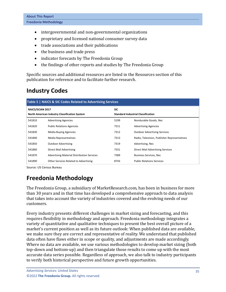- intergovernmental and non-governmental organizations
- proprietary and licensed national consumer survey data
- trade associations and their publications
- the business and trade press
- indicator forecasts by The Freedonia Group
- the findings of other reports and studies by The Freedonia Group

Specific sources and additional resources are listed in the Resources section of this publication for reference and to facilitate further research.

# <span id="page-4-0"></span>**Industry Codes**

<span id="page-4-2"></span>

| Table 5   NAICS & SIC Codes Related to Advertising Services |                                                   |                                           |                                              |  |  |  |  |
|-------------------------------------------------------------|---------------------------------------------------|-------------------------------------------|----------------------------------------------|--|--|--|--|
| NAICS/SCIAN 2017                                            |                                                   | <b>SIC</b>                                |                                              |  |  |  |  |
| North American Industry Classification System               |                                                   | <b>Standard Industrial Classification</b> |                                              |  |  |  |  |
| 541810                                                      | <b>Advertising Agencies</b>                       | 5199                                      | Nondurable Goods, Nec                        |  |  |  |  |
| 541820                                                      | <b>Public Relations Agencies</b>                  | 7311                                      | <b>Advertising Agencies</b>                  |  |  |  |  |
| 541830                                                      | <b>Media Buying Agencies</b>                      | 7312                                      | <b>Outdoor Advertising Services</b>          |  |  |  |  |
| 541840                                                      | Media Representatives                             | 7313                                      | Radio, Television, Publisher Representatives |  |  |  |  |
| 541850                                                      | <b>Outdoor Advertising</b>                        | 7319                                      | Advertising, Nec                             |  |  |  |  |
| 541860                                                      | Direct Mail Advertising                           | 7331                                      | Direct Mail Advertising Services             |  |  |  |  |
| 541870                                                      | <b>Advertising Material Distribution Services</b> | 7389                                      | <b>Business Services, Nec</b>                |  |  |  |  |
| 541890                                                      | Other Services Related to Advertising             | 8743                                      | <b>Public Relations Services</b>             |  |  |  |  |

Source: US Census Bureau

# <span id="page-4-1"></span>**Freedonia Methodology**

The Freedonia Group, a subsidiary of MarketResearch.com, has been in business for more than 30 years and in that time has developed a comprehensive approach to data analysis that takes into account the variety of industries covered and the evolving needs of our customers.

Every industry presents different challenges in market sizing and forecasting, and this requires flexibility in methodology and approach. Freedonia methodology integrates a variety of quantitative and qualitative techniques to present the best overall picture of a market's current position as well as its future outlook: When published data are available, we make sure they are correct and representative of reality. We understand that published data often have flaws either in scope or quality, and adjustments are made accordingly. Where no data are available, we use various methodologies to develop market sizing (both top-down and bottom-up) and then triangulate those results to come up with the most accurate data series possible. Regardless of approach, we also talk to industry participants to verify both historical perspective and future growth opportunities.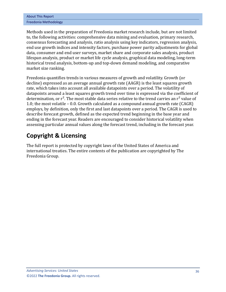| <b>About This Report</b> |
|--------------------------|
| Freedonia Methodology    |

Methods used in the preparation of Freedonia market research include, but are not limited to, the following activities: comprehensive data mining and evaluation, primary research, consensus forecasting and analysis, ratio analysis using key indicators, regression analysis, end use growth indices and intensity factors, purchase power parity adjustments for global data, consumer and end user surveys, market share and corporate sales analysis, product lifespan analysis, product or market life cycle analysis, graphical data modeling, long-term historical trend analysis, bottom-up and top-down demand modeling, and comparative market size ranking.

Freedonia quantifies trends in various measures of growth and volatility. Growth (or decline) expressed as an average annual growth rate (AAGR) is the least squares growth rate, which takes into account all available datapoints over a period. The volatility of datapoints around a least squares growth trend over time is expressed via the coefficient of determination, or  $r^2$ . The most stable data series relative to the trend carries an  $r^2$  value of 1.0; the most volatile – 0.0. Growth calculated as a compound annual growth rate (CAGR) employs, by definition, only the first and last datapoints over a period. The CAGR is used to describe forecast growth, defined as the expected trend beginning in the base year and ending in the forecast year. Readers are encouraged to consider historical volatility when assessing particular annual values along the forecast trend, including in the forecast year.

# **Copyright & Licensing**

The full report is protected by copyright laws of the United States of America and international treaties. The entire contents of the publication are copyrighted by The Freedonia Group.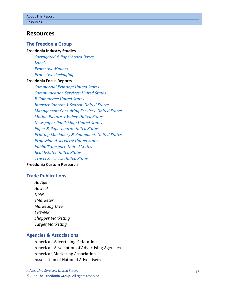## <span id="page-6-0"></span>**Resources**

#### **The Freedonia Group**

#### **[Freedonia Industry Studies](http://www.freedoniagroup.com/Home.aspx?ReferrerId=FL-Focus)**

*[Corrugated & Paperboard Boxes](http://www.freedoniagroup.com/DocumentDetails.aspx?ReferrerId=FL-FOCUS&studyid=4292) [Labels](http://www.freedoniagroup.com/DocumentDetails.aspx?ReferrerId=FL-FOCUS&studyid=3852) [Protective Mailers](http://www.freedoniagroup.com/DocumentDetails.aspx?ReferrerId=FL-FOCUS&studyid=3886) [Protective Packaging](http://www.freedoniagroup.com/DocumentDetails.aspx?ReferrerId=FL-FOCUS&studyid=3797)*

#### **[Freedonia Focus Reports](https://www.freedoniafocusreports.com/redirect.asp?progid=89534&url=/)**

*[Commercial Printing: United States](https://www.freedoniafocusreports.com/Commercial-Printing-United-States-FF25012/?progid=89534) [Communication Services: United States](https://www.freedoniafocusreports.com/Communication-Services-United-States-FF95058/?progid=89534) [E-Commerce: United States](https://www.freedoniafocusreports.com/E-Commerce-United-States-FF90043/?progid=89534) [Internet Content & Search: United States](https://www.freedoniafocusreports.com/Internet-Content-Search-United-States-FF95032/?progid=89534) [Management Consulting Services: United States](https://www.freedoniafocusreports.com/Management-Consulting-Services-United-States-FF95037/?progid=89534) [Motion Picture & Video: United States](https://www.freedoniafocusreports.com/Motion-Pictures-Video-United-States-FF95034/?progid=89534) [Newspaper Publishing: United States](https://www.freedoniafocusreports.com/Newspaper-Publishing-United-States-FF25014/?progid=89534) [Paper & Paperboard: United States](https://www.freedoniafocusreports.com/Paper-Paperboard-United-States-FF25011/?progid=89534) [Printing Machinery & Equipment: United States](https://www.freedoniafocusreports.com/Printing-Machinery-Equipment-United-States-FF75026/?progid=89534) [Professional Services: United States](https://www.freedoniafocusreports.com/Professional-Services-United-States-FF95063/?progid=89534) [Public Transport: United States](https://www.freedoniafocusreports.com/Public-Transport-United-States-FF95059/?progid=89534) [Real Estate: United States](https://www.freedoniafocusreports.com/Real-Estate-United-States-FF95081/?progid=89534) [Travel Services: United States](https://www.freedoniafocusreports.com/Travel-Services-United-States-FF95038/?progid=89534)*

### **[Freedonia Custom Research](http://www.freedoniagroup.com/CustomResearch.aspx?ReferrerId=FL-Focus)**

#### **Trade Publications**

*Ad Age Adweek DMN eMarketer Marketing Dive PRWeek Shopper Marketing Target Marketing*

#### **Agencies & Associations**

American Advertising Federation American Association of Advertising Agencies American Marketing Association Association of National Advertisers